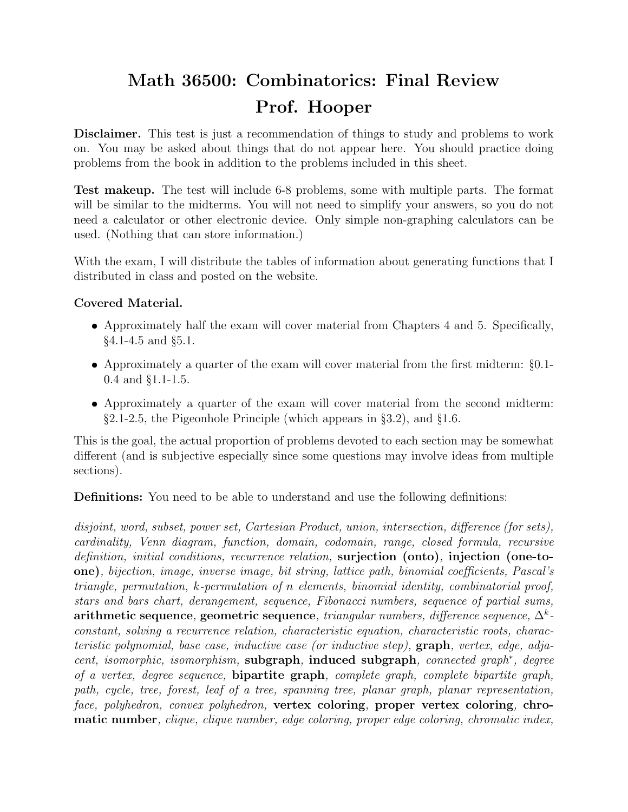## Math 36500: Combinatorics: Final Review Prof. Hooper

Disclaimer. This test is just a recommendation of things to study and problems to work on. You may be asked about things that do not appear here. You should practice doing problems from the book in addition to the problems included in this sheet.

Test makeup. The test will include 6-8 problems, some with multiple parts. The format will be similar to the midterms. You will not need to simplify your answers, so you do not need a calculator or other electronic device. Only simple non-graphing calculators can be used. (Nothing that can store information.)

With the exam, I will distribute the tables of information about generating functions that I distributed in class and posted on the website.

## Covered Material.

- Approximately half the exam will cover material from Chapters 4 and 5. Specifically, §4.1-4.5 and §5.1.
- Approximately a quarter of the exam will cover material from the first midterm: §0.1- 0.4 and §1.1-1.5.
- Approximately a quarter of the exam will cover material from the second midterm: §2.1-2.5, the Pigeonhole Principle (which appears in §3.2), and §1.6.

This is the goal, the actual proportion of problems devoted to each section may be somewhat different (and is subjective especially since some questions may involve ideas from multiple sections).

Definitions: You need to be able to understand and use the following definitions:

disjoint, word, subset, power set, Cartesian Product, union, intersection, difference (for sets), cardinality, Venn diagram, function, domain, codomain, range, closed formula, recursive definition, initial conditions, recurrence relation, surjection (onto), injection (one-toone), bijection, image, inverse image, bit string, lattice path, binomial coefficients, Pascal's triangle, permutation, k-permutation of n elements, binomial identity, combinatorial proof, stars and bars chart, derangement, sequence, Fibonacci numbers, sequence of partial sums, arithmetic sequence, geometric sequence, triangular numbers, difference sequence,  $\Delta^k$ constant, solving a recurrence relation, characteristic equation, characteristic roots, characteristic polynomial, base case, inductive case (or inductive step),  $graph$ , vertex, edge, adjacent, isomorphic, isomorphism, subgraph, induced subgraph, connected graph<sup>\*</sup>, degree of a vertex, degree sequence, bipartite graph, complete graph, complete bipartite graph, path, cycle, tree, forest, leaf of a tree, spanning tree, planar graph, planar representation, face, polyhedron, convex polyhedron, vertex coloring, proper vertex coloring, chromatic number, clique, clique number, edge coloring, proper edge coloring, chromatic index,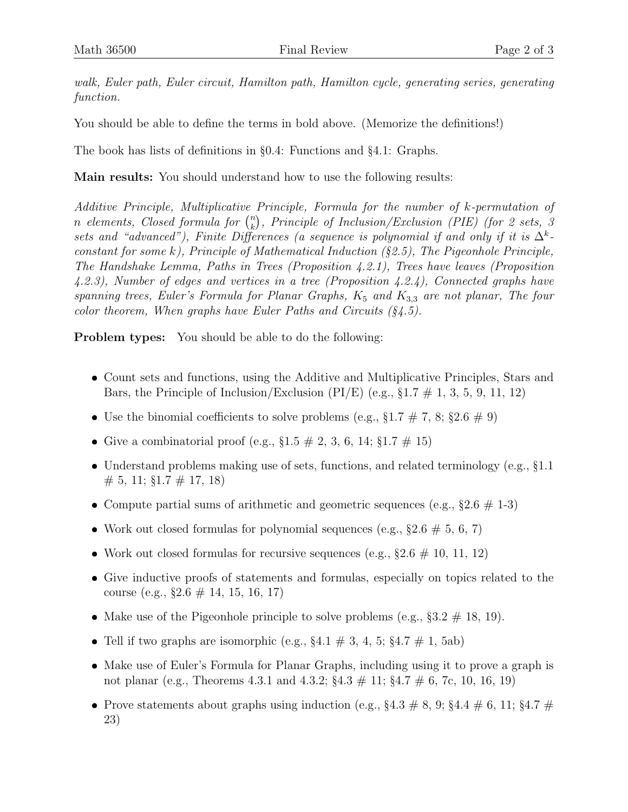walk, Euler path, Euler circuit, Hamilton path, Hamilton cycle, generating series, generating function.

You should be able to define the terms in bold above. (Memorize the definitions!)

The book has lists of definitions in §0.4: Functions and §4.1: Graphs.

Main results: You should understand how to use the following results:

Additive Principle, Multiplicative Principle, Formula for the number of k-permutation of *n* elements, Closed formula for  $\binom{n}{k}$  $\binom{n}{k}$ , Principle of Inclusion/Exclusion (PIE) (for 2 sets, 3 sets and "advanced"), Finite Differences (a sequence is polynomial if and only if it is  $\Delta^k$ constant for some k), Principle of Mathematical Induction  $(\S 2.5)$ , The Pigeonhole Principle, The Handshake Lemma, Paths in Trees (Proposition 4.2.1), Trees have leaves (Proposition 4.2.3), Number of edges and vertices in a tree (Proposition 4.2.4), Connected graphs have spanning trees, Euler's Formula for Planar Graphs,  $K_5$  and  $K_{3,3}$  are not planar, The four color theorem, When graphs have Euler Paths and Circuits  $(\S_4.5)$ .

**Problem types:** You should be able to do the following:

- Count sets and functions, using the Additive and Multiplicative Principles, Stars and Bars, the Principle of Inclusion/Exclusion (PI/E) (e.g.,  $\S 1.7 \# 1$ , 3, 5, 9, 11, 12)
- Use the binomial coefficients to solve problems (e.g.,  $\S 1.7 \# 7$ , 8;  $\S 2.6 \# 9$ )
- Give a combinatorial proof (e.g.,  $\S 1.5 \# 2, 3, 6, 14; \S 1.7 \# 15$ )
- Understand problems making use of sets, functions, and related terminology (e.g.,  $§1.1$  $\# 5$ , 11; §1.7  $\# 17$ , 18)
- Compute partial sums of arithmetic and geometric sequences (e.g.,  $\S 2.6 \# 1-3$ )
- Work out closed formulas for polynomial sequences (e.g.,  $\S 2.6 \# 5, 6, 7$ )
- Work out closed formulas for recursive sequences (e.g.,  $\S 2.6 \# 10, 11, 12$ )
- Give inductive proofs of statements and formulas, especially on topics related to the course (e.g., §2.6 # 14, 15, 16, 17)
- Make use of the Pigeonhole principle to solve problems (e.g.,  $\S 3.2 \# 18$ , 19).
- Tell if two graphs are isomorphic (e.g.,  $\S 4.1 \# 3$ , 4, 5;  $\S 4.7 \# 1$ , 5ab)
- Make use of Euler's Formula for Planar Graphs, including using it to prove a graph is not planar (e.g., Theorems 4.3.1 and 4.3.2; §4.3 # 11; §4.7 # 6, 7c, 10, 16, 19)
- Prove statements about graphs using induction (e.g.,  $\S 4.3 \# 8$ , 9;  $\S 4.4 \# 6$ , 11;  $\S 4.7 \#$ 23)